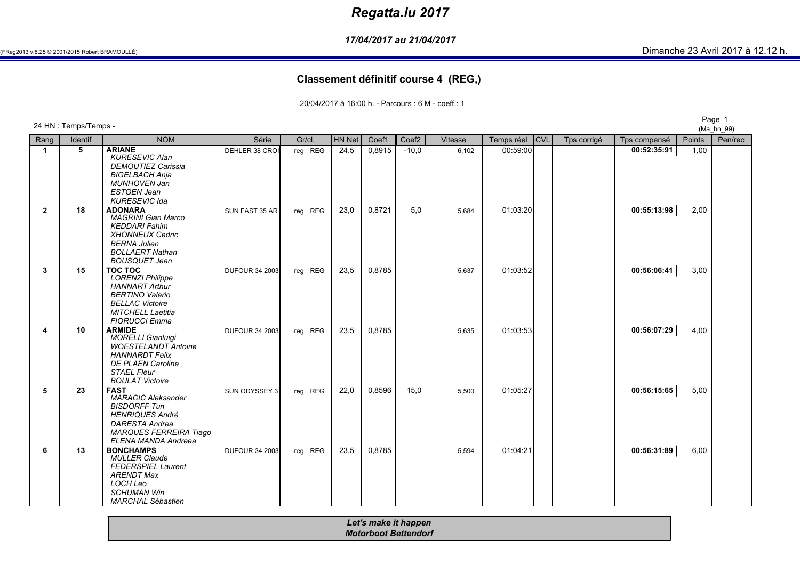# *Regatta.lu 2017*

*17/04/2017 au 21/04/2017*

(Ma\_hn\_99)

#### **Classement définitif course 4 (REG,)**

20/04/2017 à 16:00 h. - Parcours : 6 M - coeff.: 1

Page <sup>1</sup> 24 HN : Temps/Temps -

Rang

**1**

**2**

**3**

**4**

**5**

**6**

 *SCHUMAN WinMARCHAL Sébastien*

Identif NOM<br>5 ARIANE M Série Gr/cl. HN Net Coef1 Coef2 Vitesse Temps réel CVL Tps corrigé Tps compensé Points Pen/rec<br>De la compense de la contract de la corre de la contract de la constant de la contract de la constant de la co **<sup>5</sup> ARIANE** DEHLER 38 CROI reg REG 24,5 0,8915 -10,0 6,102 00:59:00 **00:52:35:91** 1,00 *KURESEVIC Alan DEMOUTIEZ CarissiaBIGELBACH Anja MUNHOVEN JanESTGEN Jean KURESEVIC Ida* **<sup>18</sup> ADONARA** SUN FAST 35 AR reg REG 23,0 0,8721 5,0 5,684 01:03:20 **00:55:13:98** 2,00 *MAGRINI Gian MarcoKEDDARI Fahim XHONNEUX CedricBERNA Julien BOLLAERT Nathan BOUSQUET Jean* **<sup>15</sup> TOC TOC** DUFOUR 34 2003 reg REG 23,5 0,8785 5,637 01:03:52 **00:56:06:41** 3,00 *LORENZI Philippe HANNART Arthur BERTINO Valerio BELLAC Victoire MITCHELL Laetitia FIORUCCI Emma***4 | 10 | ARMIDE** DUFOUR 34 2003| reg REG | 23,5 | 0,8785 | | 5,635 | 01:03:53| | | **00:56:07:29** | 4,00<br> *MORELLLGianluigi MORELLI Gianluigi WOESTELANDT AntoineHANNARDT Felix DE PLAEN CarolineSTAEL Fleur BOULAT Victoire* **<sup>23</sup> FAST** SUN ODYSSEY 3 reg REG 22,0 0,8596 15,0 5,500 01:05:27 **00:56:15:65** 5,00 *MARACIC AleksanderBISDORFF Tun HENRIQUES André DARESTA Andrea MARQUES FERREIRA TiagoELENA MANDA Andreea***6 | 13 | BONCHAMPS** DUFOUR 34 2003| reg REG | 23,5 | 0,8785 | | 5,594 | 01:04:21| | | **00:56:31:89 |** 6,00<br> *MULLER Claude MULLER Claude FEDERSPIEL LaurentARENDT MaxLOCH Leo*

| Let's make it happen        |
|-----------------------------|
| <b>Motorboot Bettendorf</b> |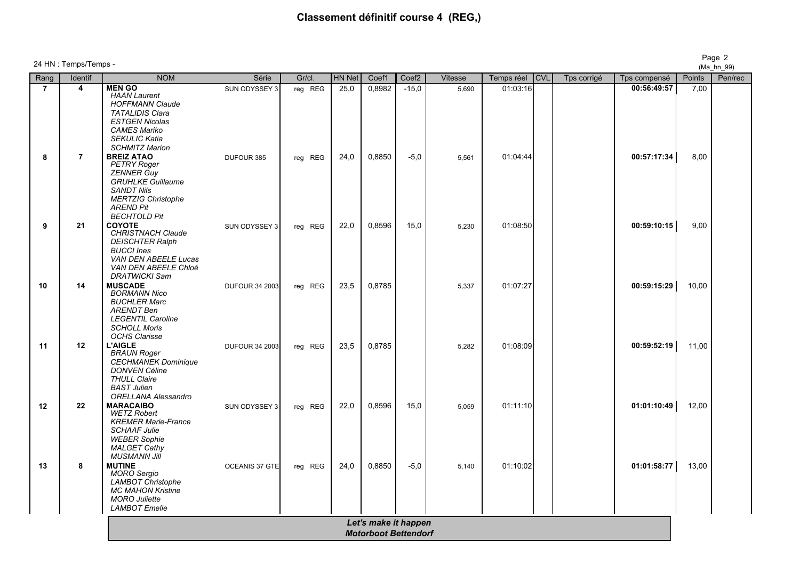# **Classement définitif course 4 (REG,)**

| Rang           | Identif                 | <b>NOM</b>                                                                                                                                                                                                     | Série                 | Gr/cl.  | <b>HN Net</b> | Coef1                | Coef <sub>2</sub> | Vitesse | Temps réel | <b>CVL</b> | Tps corrigé | Tps compensé | Points |
|----------------|-------------------------|----------------------------------------------------------------------------------------------------------------------------------------------------------------------------------------------------------------|-----------------------|---------|---------------|----------------------|-------------------|---------|------------|------------|-------------|--------------|--------|
| $\overline{7}$ | $\overline{\mathbf{4}}$ | <b>MEN GO</b><br><b>HAAN Laurent</b><br><b>HOFFMANN Claude</b><br><b>TATALIDIS Clara</b><br><b>ESTGEN Nicolas</b><br><b>CAMES Mariko</b><br><b>SEKULIC Katia</b>                                               | SUN ODYSSEY 3         | reg REG | 25,0          | 0,8982               | $-15,0$           | 5,690   | 01:03:16   |            |             | 00:56:49:57  | 7,00   |
|                | $\overline{7}$          | <b>SCHMITZ Marion</b><br><b>BREIZ ATAO</b><br><b>PETRY Roger</b><br><b>ZENNER Guy</b><br><b>GRUHLKE Guillaume</b><br><b>SANDT Nils</b><br><b>MERTZIG Christophe</b><br><b>AREND Pit</b><br><b>BECHTOLD Pit</b> | DUFOUR 385            | reg REG | 24,0          | 0,8850               | $-5,0$            | 5,561   | 01:04:44   |            |             | 00:57:17:34  | 8,00   |
|                | 21                      | <b>COYOTE</b><br><b>CHRISTNACH Claude</b><br><b>DEISCHTER Ralph</b><br><b>BUCCI Ines</b><br>VAN DEN ABEELE Lucas<br>VAN DEN ABEELE Chloé<br><b>DRATWICKI Sam</b>                                               | SUN ODYSSEY 3         | reg REG | 22,0          | 0,8596               | 15,0              | 5,230   | 01:08:50   |            |             | 00:59:10:15  | 9,00   |
|                | 14                      | <b>MUSCADE</b><br><b>BORMANN Nico</b><br><b>BUCHLER Marc</b><br><b>ARENDT Ben</b><br><b>LEGENTIL Caroline</b><br><b>SCHOLL Moris</b><br><b>OCHS Clarisse</b>                                                   | <b>DUFOUR 34 2003</b> | reg REG | 23,5          | 0,8785               |                   | 5,337   | 01:07:27   |            |             | 00:59:15:29  | 10,00  |
| 11             | 12                      | <b>L'AIGLE</b><br><b>BRAUN Roger</b><br><b>CECHMANEK Dominique</b><br><b>DONVEN Céline</b><br><b>THULL Claire</b><br><b>BAST Julien</b><br><b>ORELLANA Alessandro</b>                                          | <b>DUFOUR 34 2003</b> | reg REG | 23,5          | 0,8785               |                   | 5,282   | 01:08:09   |            |             | 00:59:52:19  | 11,00  |
| 12             | 22                      | <b>MARACAIBO</b><br><b>WETZ Robert</b><br><b>KREMER Marie-France</b><br><b>SCHAAF Julie</b><br><b>WEBER Sophie</b><br><b>MALGET Cathy</b><br><b>MUSMANN Jill</b>                                               | SUN ODYSSEY 3         | reg REG | 22,0          | 0,8596               | 15,0              | 5,059   | 01:11:10   |            |             | 01:01:10:49  | 12,00  |
| 13             | 8                       | <b>MUTINE</b><br><b>MORO</b> Sergio<br><b>LAMBOT Christophe</b><br><b>MC MAHON Kristine</b><br><b>MORO Juliette</b><br><b>LAMBOT</b> Emelie                                                                    | OCEANIS 37 GTE        | reg REG | 24,0          | 0,8850               | $-5,0$            | 5,140   | 01:10:02   |            |             | 01:01:58:77  | 13,00  |
|                |                         |                                                                                                                                                                                                                |                       |         |               | Let's make it happen |                   |         |            |            |             |              |        |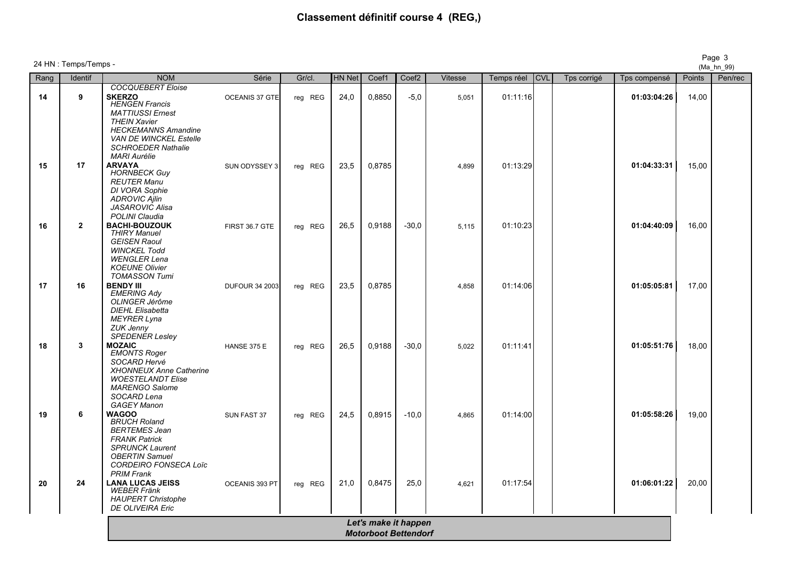# **Classement définitif course 4 (REG,)**

| Rang | Identif        | <b>NOM</b>                                                                                                                                                                       | Série                 | Gr/cl.  | HN Net | Coef1                | Coef <sub>2</sub> | <b>Vitesse</b> | Temps réel | <b>CVL</b> | Tps corrigé | Tps compensé | Points | Pen/rec |
|------|----------------|----------------------------------------------------------------------------------------------------------------------------------------------------------------------------------|-----------------------|---------|--------|----------------------|-------------------|----------------|------------|------------|-------------|--------------|--------|---------|
|      |                | COCQUEBERT Eloise                                                                                                                                                                |                       |         |        |                      |                   |                |            |            |             |              |        |         |
| 14   | 9              | <b>SKERZO</b><br><b>HENGEN Francis</b><br><b>MATTIUSSI Ernest</b><br><b>THEIN Xavier</b>                                                                                         | OCEANIS 37 GTE        | reg REG | 24,0   | 0,8850               | $-5,0$            | 5,051          | 01:11:16   |            |             | 01:03:04:26  | 14,00  |         |
|      |                | <b>HECKEMANNS Amandine</b><br><b>VAN DE WINCKEL Estelle</b><br><b>SCHROEDER Nathalie</b><br><b>MARI Aurélie</b>                                                                  |                       |         |        |                      |                   |                |            |            |             |              |        |         |
| 15   | 17             | <b>ARVAYA</b><br><b>HORNBECK Guy</b><br><b>REUTER Manu</b><br>DI VORA Sophie<br><b>ADROVIC Ajlin</b><br><b>JASAROVIC Alisa</b>                                                   | SUN ODYSSEY 3         | reg REG | 23,5   | 0,8785               |                   | 4,899          | 01:13:29   |            |             | 01:04:33:31  | 15,00  |         |
| 16   | $\overline{2}$ | <b>POLINI</b> Claudia<br><b>BACHI-BOUZOUK</b>                                                                                                                                    | FIRST 36.7 GTE        | reg REG | 26,5   | 0,9188               | $-30,0$           | 5,115          | 01:10:23   |            |             | 01:04:40:09  | 16,00  |         |
|      |                | <b>THIRY Manuel</b><br><b>GEISEN Raoul</b><br><b>WINCKEL Todd</b><br><b>WENGLER Lena</b><br><b>KOEUNE Olivier</b><br><b>TOMASSON Tumi</b>                                        |                       |         |        |                      |                   |                |            |            |             |              |        |         |
| 17   | 16             | <b>BENDY III</b><br><b>EMERING Ady</b><br>OLINGER Jérôme<br><b>DIEHL Elisabetta</b><br><b>MEYRER Lyna</b><br><b>ZUK Jenny</b><br><b>SPEDENER Lesley</b>                          | <b>DUFOUR 34 2003</b> | reg REG | 23,5   | 0,8785               |                   | 4,858          | 01:14:06   |            |             | 01:05:05:81  | 17,00  |         |
| 18   | $\mathbf{3}$   | <b>MOZAIC</b><br><b>EMONTS Roger</b><br>SOCARD Hervé<br><b>XHONNEUX Anne Catherine</b><br><b>WOESTELANDT Elise</b><br><b>MARENGO Salome</b><br>SOCARD Lena<br><b>GAGEY Manon</b> | HANSE 375 E           | reg REG | 26,5   | 0,9188               | $-30,0$           | 5,022          | 01:11:41   |            |             | 01:05:51:76  | 18,00  |         |
| 19   | 6              | <b>WAGOO</b><br><b>BRUCH Roland</b><br><b>BERTEMES Jean</b><br><b>FRANK Patrick</b><br><b>SPRUNCK Laurent</b><br><b>OBERTIN Samuel</b><br><b>CORDEIRO FONSECA Loïc</b>           | SUN FAST 37           | reg REG | 24,5   | 0,8915               | $-10,0$           | 4,865          | 01:14:00   |            |             | 01:05:58:26  | 19,00  |         |
| 20   | 24             | <b>PRIM Frank</b><br><b>LANA LUCAS JEISS</b><br><b>WEBER Fränk</b><br><b>HAUPERT Christophe</b><br>DE OLIVEIRA Eric                                                              | OCEANIS 393 PT        | reg REG | 21,0   | 0,8475               | 25,0              | 4,621          | 01:17:54   |            |             | 01:06:01:22  | 20,00  |         |
|      |                |                                                                                                                                                                                  |                       |         |        | Let's make it happen |                   |                |            |            |             |              |        |         |